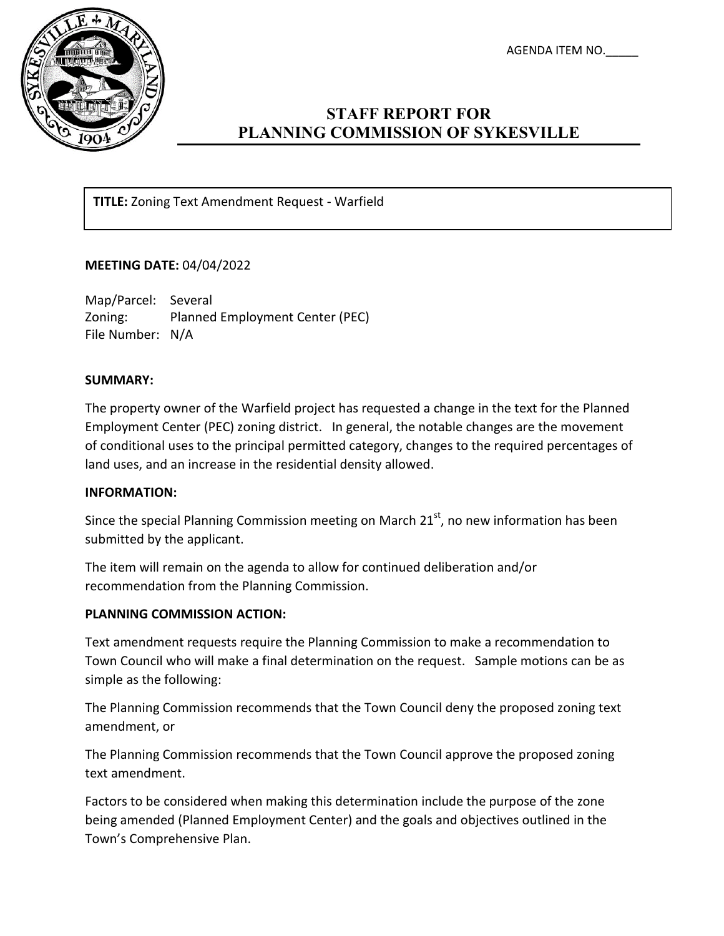AGENDA ITEM NO.\_\_\_\_\_



# **STAFF REPORT FOR PLANNING COMMISSION OF SYKESVILLE**

**TITLE:** Zoning Text Amendment Request - Warfield

### **MEETING DATE:** 04/04/2022

Map/Parcel: Several Zoning: Planned Employment Center (PEC) File Number: N/A

### **SUMMARY:**

The property owner of the Warfield project has requested a change in the text for the Planned Employment Center (PEC) zoning district. In general, the notable changes are the movement of conditional uses to the principal permitted category, changes to the required percentages of land uses, and an increase in the residential density allowed.

#### **INFORMATION:**

Since the special Planning Commission meeting on March  $21<sup>st</sup>$ , no new information has been submitted by the applicant.

The item will remain on the agenda to allow for continued deliberation and/or recommendation from the Planning Commission.

## **PLANNING COMMISSION ACTION:**

Text amendment requests require the Planning Commission to make a recommendation to Town Council who will make a final determination on the request. Sample motions can be as simple as the following:

The Planning Commission recommends that the Town Council deny the proposed zoning text amendment, or

The Planning Commission recommends that the Town Council approve the proposed zoning text amendment.

Factors to be considered when making this determination include the purpose of the zone being amended (Planned Employment Center) and the goals and objectives outlined in the Town's Comprehensive Plan.